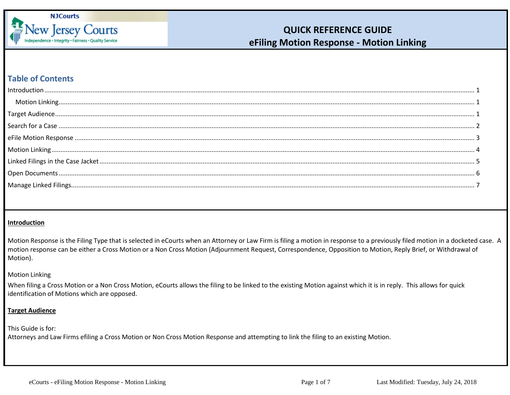

### **Table of Contents**

### <span id="page-0-0"></span>**Introduction**

Motion Response is the Filing Type that is selected in eCourts when an Attorney or Law Firm is filing a motion in response to a previously filed motion in a docketed case. A motion response can be either a Cross Motion or a Non Cross Motion (Adjournment Request, Correspondence, Opposition to Motion, Reply Brief, or Withdrawal of Motion).

### <span id="page-0-1"></span>Motion Linking

When filing a Cross Motion or a Non Cross Motion, eCourts allows the filing to be linked to the existing Motion against which it is in reply. This allows for quick identification of Motions which are opposed.

### <span id="page-0-2"></span>**Target Audience**

#### This Guide is for:

Attorneys and Law Firms efiling a Cross Motion or Non Cross Motion Response and attempting to link the filing to an existing Motion.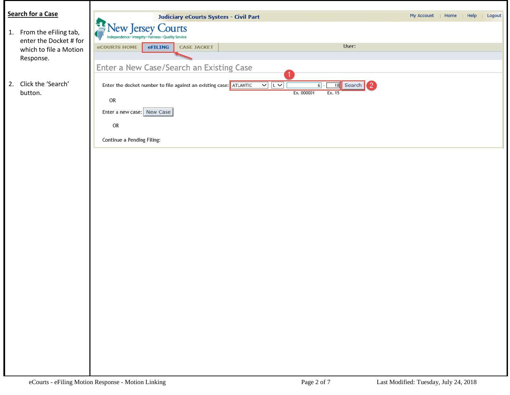<span id="page-1-0"></span>

| <b>Search for a Case</b> |                                                                                                                           | My Account<br>Help<br>Logout<br>  Home |
|--------------------------|---------------------------------------------------------------------------------------------------------------------------|----------------------------------------|
|                          | <b>Judiciary eCourts System - Civil Part</b>                                                                              |                                        |
| 1. From the eFiling tab, | New Jersey Courts                                                                                                         |                                        |
| enter the Docket # for   | Independence · Integrity · Fairness · Quality Service<br>User:                                                            |                                        |
| which to file a Motion   | <b>eCOURTS HOME</b><br>eFILING<br><b>CASE JACKET</b>                                                                      |                                        |
| Response.                |                                                                                                                           |                                        |
|                          | Enter a New Case/Search an Existing Case                                                                                  |                                        |
| 2. Click the 'Search'    | Enter the docket number to file against an existing case: ATLANTIC<br>$\frac{1}{2}$<br>18 Search<br>$\mathbf{2}$<br>$6$ - |                                        |
| button.                  | Ex. 000001<br>Ex. 15                                                                                                      |                                        |
|                          | OR                                                                                                                        |                                        |
|                          | Enter a new case: New Case                                                                                                |                                        |
|                          | OR                                                                                                                        |                                        |
|                          |                                                                                                                           |                                        |
|                          | Continue a Pending Filing:                                                                                                |                                        |
|                          |                                                                                                                           |                                        |
|                          |                                                                                                                           |                                        |
|                          |                                                                                                                           |                                        |
|                          |                                                                                                                           |                                        |
|                          |                                                                                                                           |                                        |
|                          |                                                                                                                           |                                        |
|                          |                                                                                                                           |                                        |
|                          |                                                                                                                           |                                        |
|                          |                                                                                                                           |                                        |
|                          |                                                                                                                           |                                        |
|                          |                                                                                                                           |                                        |
|                          |                                                                                                                           |                                        |
|                          |                                                                                                                           |                                        |
|                          |                                                                                                                           |                                        |
|                          |                                                                                                                           |                                        |
|                          |                                                                                                                           |                                        |
|                          |                                                                                                                           |                                        |
|                          |                                                                                                                           |                                        |
|                          |                                                                                                                           |                                        |
|                          |                                                                                                                           |                                        |
|                          |                                                                                                                           |                                        |
|                          |                                                                                                                           |                                        |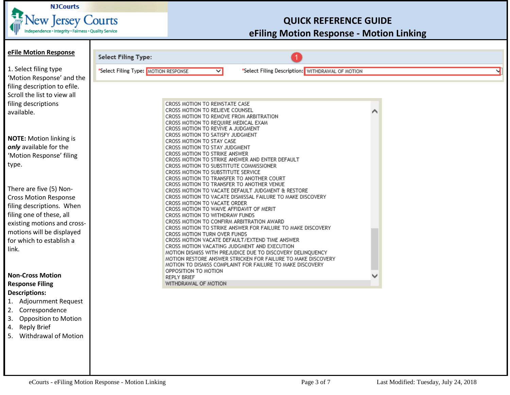

<span id="page-2-0"></span>

| eFile Motion Response                                     |                                                                                                                            |
|-----------------------------------------------------------|----------------------------------------------------------------------------------------------------------------------------|
|                                                           | <b>Select Filing Type:</b>                                                                                                 |
| 1. Select filing type<br>'Motion Response' and the        | *Select Filing Type: MOTION RESPONSE<br>*Select Filing Description: WITHDRAWAL OF MOTION<br>$\overline{\mathbf{v}}$        |
| filing description to efile.                              |                                                                                                                            |
| Scroll the list to view all                               |                                                                                                                            |
| filing descriptions                                       | CROSS MOTION TO REINSTATE CASE<br>CROSS MOTION TO RELIEVE COUNSEL                                                          |
| available.                                                | CROSS MOTION TO REMOVE FROM ARBITRATION                                                                                    |
|                                                           | CROSS MOTION TO REQUIRE MEDICAL EXAM<br>CROSS MOTION TO REVIVE A JUDGMENT                                                  |
| <b>NOTE:</b> Motion linking is                            | CROSS MOTION TO SATISFY JUDGMENT<br>CROSS MOTION TO STAY CASE                                                              |
| only available for the                                    | CROSS MOTION TO STAY JUDGMENT                                                                                              |
| 'Motion Response' filing                                  | CROSS MOTION TO STRIKE ANSWER<br>CROSS MOTION TO STRIKE ANSWER AND ENTER DEFAULT                                           |
| type.                                                     | CROSS MOTION TO SUBSTITUTE COMMISSIONER<br>CROSS MOTION TO SUBSTITUTE SERVICE                                              |
|                                                           | CROSS MOTION TO TRANSFER TO ANOTHER COURT<br>CROSS MOTION TO TRANSFER TO ANOTHER VENUE                                     |
| There are five (5) Non-                                   | CROSS MOTION TO VACATE DEFAULT JUDGMENT & RESTORE                                                                          |
| <b>Cross Motion Response</b><br>filing descriptions. When | CROSS MOTION TO VACATE DISMISSAL FAILURE TO MAKE DISCOVERY<br>CROSS MOTION TO VACATE ORDER                                 |
| filing one of these, all                                  | CROSS MOTION TO WAIVE AFFIDAVIT OF MERIT<br>CROSS MOTION TO WITHDRAW FUNDS                                                 |
| existing motions and cross-                               | CROSS MOTION TO CONFIRM ARBITRATION AWARD<br>CROSS MOTION TO STRIKE ANSWER FOR FAILURE TO MAKE DISCOVERY                   |
| motions will be displayed                                 | CROSS MOTION TURN OVER FUNDS                                                                                               |
| for which to establish a<br>link.                         | CROSS MOTION VACATE DEFAULT/EXTEND TIME ANSWER<br>CROSS MOTION VACATING JUDGMENT AND EXECUTION                             |
|                                                           | MOTION DISMISS WITH PREJUDICE DUE TO DISCOVERY DELINQUENCY<br>MOTION RESTORE ANSWER STRICKEN FOR FAILURE TO MAKE DISCOVERY |
|                                                           | MOTION TO DISMISS COMPLAINT FOR FAILURE TO MAKE DISCOVERY                                                                  |
| <b>Non-Cross Motion</b>                                   | OPPOSITION TO MOTION<br><b>REPLY BRIEF</b>                                                                                 |
| <b>Response Filing</b><br><b>Descriptions:</b>            | WITHDRAWAL OF MOTION                                                                                                       |
| 1. Adjournment Request                                    |                                                                                                                            |
| 2. Correspondence                                         |                                                                                                                            |
| <b>Opposition to Motion</b><br>3.                         |                                                                                                                            |
| <b>Reply Brief</b><br>4.                                  |                                                                                                                            |
| <b>Withdrawal of Motion</b><br>5.                         |                                                                                                                            |
|                                                           |                                                                                                                            |
|                                                           |                                                                                                                            |
|                                                           |                                                                                                                            |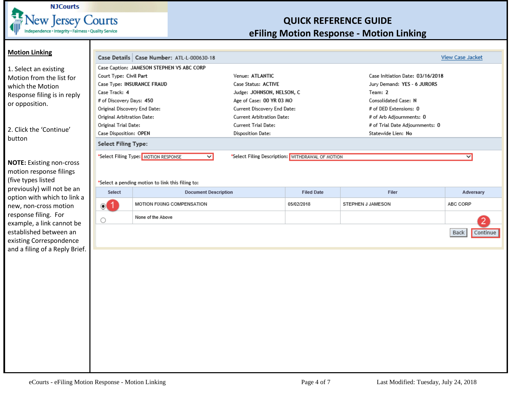

<span id="page-3-0"></span>

| <b>Motion Linking</b>                             |                                                  |                                                                 |                                  |                                                  |                                  |                         |
|---------------------------------------------------|--------------------------------------------------|-----------------------------------------------------------------|----------------------------------|--------------------------------------------------|----------------------------------|-------------------------|
|                                                   | Case Details   Case Number: ATL-L-000630-18      |                                                                 |                                  |                                                  |                                  | <b>View Case Jacket</b> |
| 1. Select an existing                             | Case Caption: JAMESON STEPHEN VS ABC CORP        |                                                                 |                                  |                                                  |                                  |                         |
| Motion from the list for                          | Court Type: Civil Part                           |                                                                 | Venue: ATLANTIC                  |                                                  | Case Initiation Date: 03/16/2018 |                         |
| which the Motion                                  | Case Type: INSURANCE FRAUD                       |                                                                 | Case Status: ACTIVE              |                                                  | Jury Demand: YES - 6 JURORS      |                         |
| Response filing is in reply                       | Case Track: 4                                    |                                                                 | Judge: JOHNSON, NELSON, C        |                                                  | Team: 2                          |                         |
| or opposition.                                    | # of Discovery Days: 450                         |                                                                 | Age of Case: 00 YR 03 MO         |                                                  | Consolidated Case: N             |                         |
|                                                   | Original Discovery End Date:                     |                                                                 | Current Discovery End Date:      |                                                  | # of DED Extensions: 0           |                         |
|                                                   | Original Arbitration Date:                       |                                                                 | <b>Current Arbitration Date:</b> |                                                  | # of Arb Adjournments: 0         |                         |
|                                                   | Original Trial Date:                             |                                                                 | <b>Current Trial Date:</b>       |                                                  | # of Trial Date Adjournments: 0  |                         |
| 2. Click the 'Continue'                           | Case Disposition: OPEN                           |                                                                 | <b>Disposition Date:</b>         |                                                  | Statewide Lien: No               |                         |
| button                                            | <b>Select Filing Type:</b>                       |                                                                 |                                  |                                                  |                                  |                         |
|                                                   |                                                  | *Select Filing Type: MOTION RESPONSE<br>$\overline{\mathsf{v}}$ |                                  | *Select Filing Description: WITHDRAWAL OF MOTION |                                  | $\overline{\mathsf{v}}$ |
| <b>NOTE:</b> Existing non-cross                   |                                                  |                                                                 |                                  |                                                  |                                  |                         |
| motion response filings                           |                                                  |                                                                 |                                  |                                                  |                                  |                         |
| (five types listed                                |                                                  |                                                                 |                                  |                                                  |                                  |                         |
| previously) will not be an                        | *Select a pending motion to link this filing to: |                                                                 |                                  |                                                  |                                  |                         |
| option with which to link a                       | Select                                           | <b>Document Description</b>                                     |                                  | <b>Filed Date</b>                                | Filer                            | Adversary               |
| new, non-cross motion                             | $\odot$ 1                                        | MOTION FIXING COMPENSATION                                      |                                  | 05/02/2018                                       | STEPHEN J JAMESON                | ABC CORP                |
| response filing. For<br>example, a link cannot be | O                                                | None of the Above                                               |                                  |                                                  |                                  |                         |
| established between an<br>existing Correspondence |                                                  |                                                                 |                                  |                                                  |                                  | Back<br>Continue        |
| and a filing of a Reply Brief.                    |                                                  |                                                                 |                                  |                                                  |                                  |                         |
|                                                   |                                                  |                                                                 |                                  |                                                  |                                  |                         |
|                                                   |                                                  |                                                                 |                                  |                                                  |                                  |                         |
|                                                   |                                                  |                                                                 |                                  |                                                  |                                  |                         |
|                                                   |                                                  |                                                                 |                                  |                                                  |                                  |                         |
|                                                   |                                                  |                                                                 |                                  |                                                  |                                  |                         |
|                                                   |                                                  |                                                                 |                                  |                                                  |                                  |                         |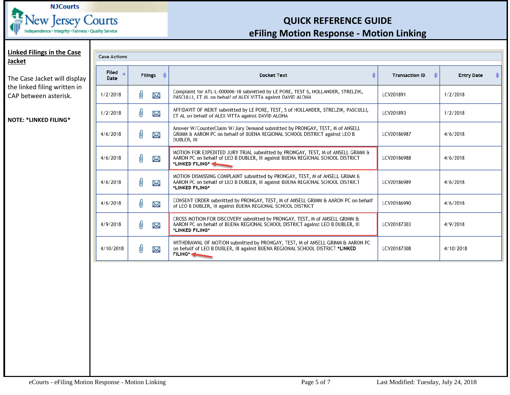

<span id="page-4-0"></span>

| <b>Linked Filings in the Case</b><br><b>Jacket</b>    | <b>Case Actions</b> |                |                                                                                                                                                                                      |                       |                   |
|-------------------------------------------------------|---------------------|----------------|--------------------------------------------------------------------------------------------------------------------------------------------------------------------------------------|-----------------------|-------------------|
| The Case Jacket will display                          | Filed<br>Date       | <b>Filings</b> | <b>Docket Text</b>                                                                                                                                                                   | <b>Transaction ID</b> | <b>Entry Date</b> |
| the linked filing written in<br>CAP between asterisk. | 1/2/2018            | 0<br>X         | Complaint for ATL-L-000006-18 submitted by LE PORE, TEST S, HOLLANDER, STRELZIK,<br>PASCULLI, ET AL on behalf of ALEX VITTA against DAVID ALOHA                                      | LCV201891             | 1/2/2018          |
| <b>NOTE: *LINKED FILING*</b>                          | 1/2/2018            | 0<br>X         | AFFIDAVIT OF MERIT submitted by LE PORE, TEST, S of HOLLANDER, STRELZIK, PASCULLI,<br>ET AL on behalf of ALEX VITTA against DAVID ALOHA                                              | LCV201893             | 1/2/2018          |
|                                                       | 4/6/2018            | 0<br>X         | Answer W/CounterClaim W/Jury Demand submitted by PRONGAY, TEST, M of ANSELL<br>GRIMM & AARON PC on behalf of BUENA REGIONAL SCHOOL DISTRICT against LEO B<br>DUBLER, III             | LCV20186987           | 4/6/2018          |
|                                                       | 4/6/2018            | 0<br>Σ         | MOTION FOR EXPEDITED JURY TRIAL submitted by PRONGAY, TEST, M of ANSELL GRIMM &<br>AARON PC on behalf of LEO B DUBLER, III against BUENA REGIONAL SCHOOL DISTRICT<br>*LINKED FILING* | LCV20186988           | 4/6/2018          |
|                                                       | 4/6/2018            | 0<br>X         | MOTION DISMISSING COMPLAINT submitted by PRONGAY, TEST, M of ANSELL GRIMM &<br>AARON PC on behalf of LEO B DUBLER, III against BUENA REGIONAL SCHOOL DISTRICT<br>*LINKED FILING*     | LCV20186989           | 4/6/2018          |
|                                                       | 4/6/2018            | 0<br>X         | CONSENT ORDER submitted by PRONGAY, TEST, M of ANSELL GRIMM & AARON PC on behalf<br>of LEO B DUBLER, III against BUENA REGIONAL SCHOOL DISTRICT                                      | LCV20186990           | 4/6/2018          |
|                                                       | 4/9/2018            | 0<br>Σ         | CROSS MOTION FOR DISCOVERY submitted by PRONGAY, TEST, M of ANSELL GRIMM &<br>AARON PC on behalf of BUENA REGIONAL SCHOOL DISTRICT against LEO B DUBLER, III<br>*LINKED FILING*      | LCV20187303           | 4/9/2018          |
|                                                       | 4/10/2018           | 0<br>X         | WITHDRAWAL OF MOTION submitted by PRONGAY, TEST, M of ANSELL GRIMM & AARON PC<br>on behalf of LEO B DUBLER, III against BUENA REGIONAL SCHOOL DISTRICT *LINKED<br>FILING*            | LCV20187308           | 4/10/2018         |
|                                                       |                     |                |                                                                                                                                                                                      |                       |                   |
|                                                       |                     |                |                                                                                                                                                                                      |                       |                   |
|                                                       |                     |                |                                                                                                                                                                                      |                       |                   |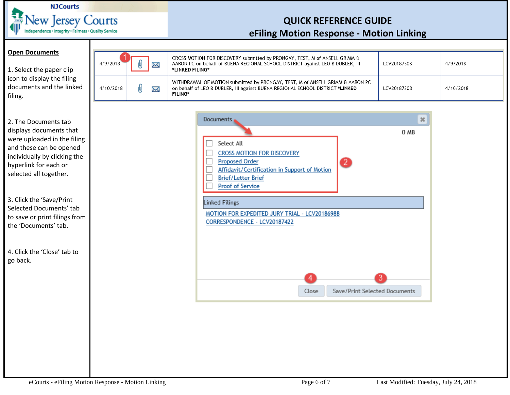

#### <span id="page-5-0"></span>**Open Documents**

1. Select the paper clip icon to display the filing documents and the linked filing.

2. The Documents tab displays documents that were uploaded in the filing and these can be opened individually by clicking the hyperlink for each or selected all together.

3. Click the 'Save/Print Selected Documents' tab to save or print filings from the 'Documents' tab.

4. Click the 'Close' tab to go back.